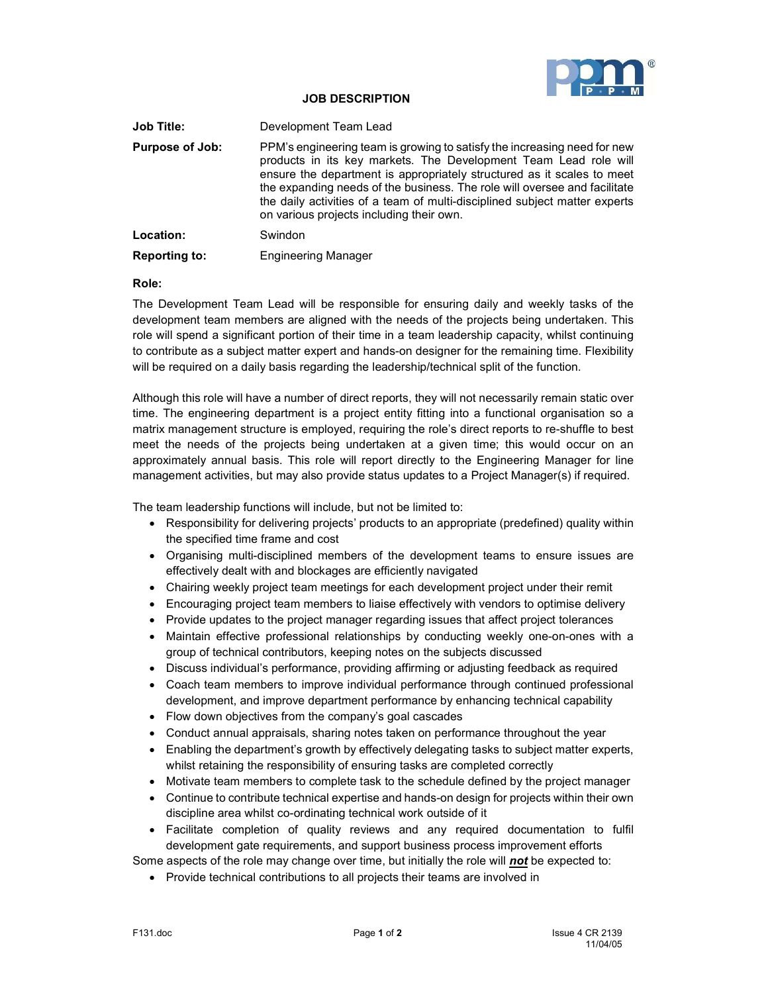

# JOB DESCRIPTION

| <b>Job Title:</b>    | Development Team Lead                                                                                                                                                                                                                                                                                                                                                                                                         |
|----------------------|-------------------------------------------------------------------------------------------------------------------------------------------------------------------------------------------------------------------------------------------------------------------------------------------------------------------------------------------------------------------------------------------------------------------------------|
| Purpose of Job:      | PPM's engineering team is growing to satisfy the increasing need for new<br>products in its key markets. The Development Team Lead role will<br>ensure the department is appropriately structured as it scales to meet<br>the expanding needs of the business. The role will oversee and facilitate<br>the daily activities of a team of multi-disciplined subject matter experts<br>on various projects including their own. |
| Location:            | Swindon                                                                                                                                                                                                                                                                                                                                                                                                                       |
| <b>Reporting to:</b> | <b>Engineering Manager</b>                                                                                                                                                                                                                                                                                                                                                                                                    |

### Role:

The Development Team Lead will be responsible for ensuring daily and weekly tasks of the development team members are aligned with the needs of the projects being undertaken. This role will spend a significant portion of their time in a team leadership capacity, whilst continuing to contribute as a subject matter expert and hands-on designer for the remaining time. Flexibility will be required on a daily basis regarding the leadership/technical split of the function.

Although this role will have a number of direct reports, they will not necessarily remain static over time. The engineering department is a project entity fitting into a functional organisation so a matrix management structure is employed, requiring the role's direct reports to re-shuffle to best meet the needs of the projects being undertaken at a given time; this would occur on an approximately annual basis. This role will report directly to the Engineering Manager for line management activities, but may also provide status updates to a Project Manager(s) if required.

The team leadership functions will include, but not be limited to:

- Responsibility for delivering projects' products to an appropriate (predefined) quality within the specified time frame and cost
- Organising multi-disciplined members of the development teams to ensure issues are effectively dealt with and blockages are efficiently navigated
- Chairing weekly project team meetings for each development project under their remit
- Encouraging project team members to liaise effectively with vendors to optimise delivery
- Provide updates to the project manager regarding issues that affect project tolerances
- Maintain effective professional relationships by conducting weekly one-on-ones with a group of technical contributors, keeping notes on the subjects discussed
- Discuss individual's performance, providing affirming or adjusting feedback as required
- Coach team members to improve individual performance through continued professional development, and improve department performance by enhancing technical capability
- Flow down objectives from the company's goal cascades
- Conduct annual appraisals, sharing notes taken on performance throughout the year
- Enabling the department's growth by effectively delegating tasks to subject matter experts, whilst retaining the responsibility of ensuring tasks are completed correctly
- Motivate team members to complete task to the schedule defined by the project manager
- Continue to contribute technical expertise and hands-on design for projects within their own discipline area whilst co-ordinating technical work outside of it
- Facilitate completion of quality reviews and any required documentation to fulfil development gate requirements, and support business process improvement efforts

Some aspects of the role may change over time, but initially the role will **not** be expected to:

Provide technical contributions to all projects their teams are involved in